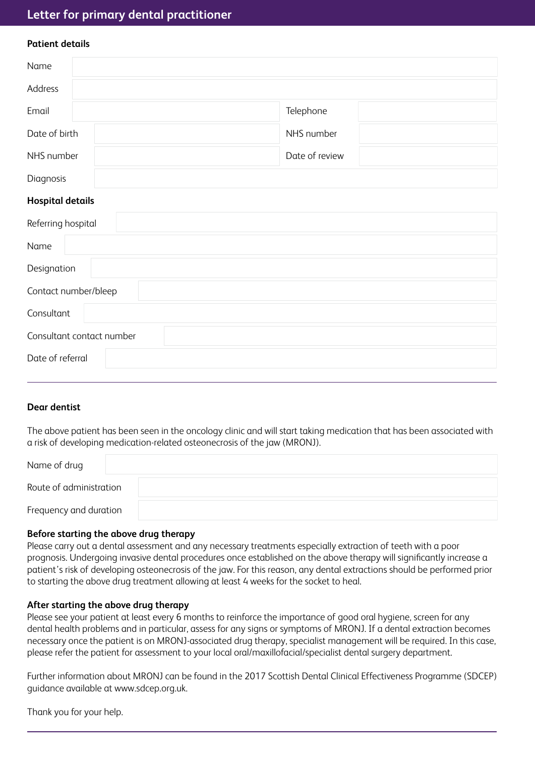# **Letter for primary dental practitioner**

| <b>Patient details</b>  |                |  |
|-------------------------|----------------|--|
| Name                    |                |  |
| Address                 |                |  |
| Email                   | Telephone      |  |
| Date of birth           | NHS number     |  |
| NHS number              | Date of review |  |
| Diagnosis               |                |  |
| <b>Hospital details</b> |                |  |
|                         |                |  |

| Referring hospital        |
|---------------------------|
| Name                      |
| Designation               |
| Contact number/bleep      |
| Consultant                |
| Consultant contact number |
| Date of referral          |

## **Dear dentist**

The above patient has been seen in the oncology clinic and will start taking medication that has been associated with a risk of developing medication-related osteonecrosis of the jaw (MRONJ).

| Name of drug            |  |
|-------------------------|--|
| Route of administration |  |
| Frequency and duration  |  |

### **Before starting the above drug therapy**

Please carry out a dental assessment and any necessary treatments especially extraction of teeth with a poor prognosis. Undergoing invasive dental procedures once established on the above therapy will significantly increase a patient's risk of developing osteonecrosis of the jaw. For this reason, any dental extractions should be performed prior to starting the above drug treatment allowing at least 4 weeks for the socket to heal.

### **After starting the above drug therapy**

Please see your patient at least every 6 months to reinforce the importance of good oral hygiene, screen for any dental health problems and in particular, assess for any signs or symptoms of MRONJ. If a dental extraction becomes necessary once the patient is on MRONJ-associated drug therapy, specialist management will be required. In this case, please refer the patient for assessment to your local oral/maxillofacial/specialist dental surgery department.

Further information about MRONJ can be found in the 2017 Scottish Dental Clinical Effectiveness Programme (SDCEP) guidance available at www.sdcep.org.uk.

Thank you for your help.